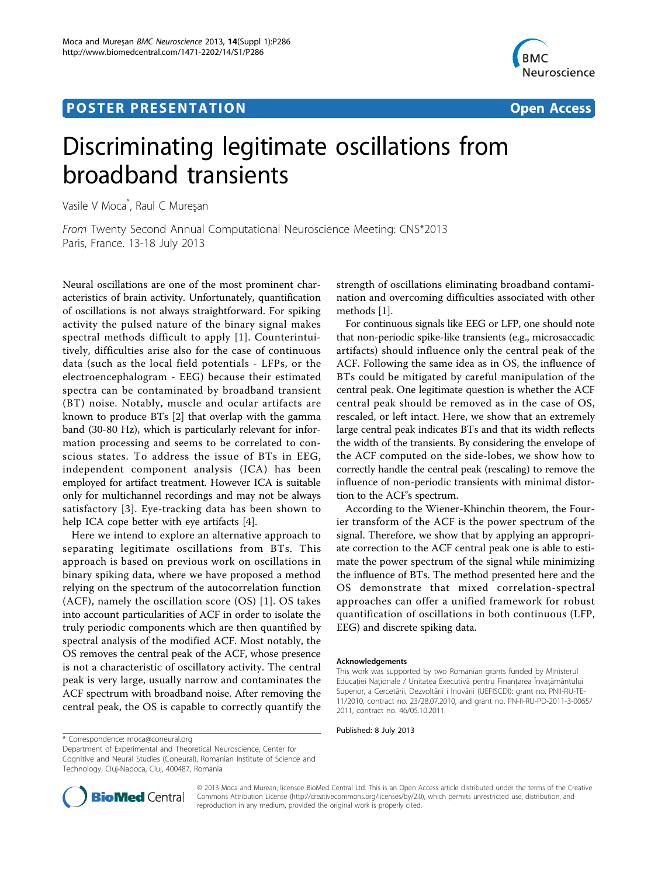## **POSTER PRESENTATION CONSUMING THE SERVICE SERVICE SERVICES**



# Discriminating legitimate oscillations from broadband transients

Vasile V Moca\* , Raul C Mureşan

From Twenty Second Annual Computational Neuroscience Meeting: CNS\*2013 Paris, France. 13-18 July 2013

Neural oscillations are one of the most prominent characteristics of brain activity. Unfortunately, quantification of oscillations is not always straightforward. For spiking activity the pulsed nature of the binary signal makes spectral methods difficult to apply [[1](#page-1-0)]. Counterintuitively, difficulties arise also for the case of continuous data (such as the local field potentials - LFPs, or the electroencephalogram - EEG) because their estimated spectra can be contaminated by broadband transient (BT) noise. Notably, muscle and ocular artifacts are known to produce BTs [[2\]](#page-1-0) that overlap with the gamma band (30-80 Hz), which is particularly relevant for information processing and seems to be correlated to conscious states. To address the issue of BTs in EEG, independent component analysis (ICA) has been employed for artifact treatment. However ICA is suitable only for multichannel recordings and may not be always satisfactory [[3](#page-1-0)]. Eye-tracking data has been shown to help ICA cope better with eye artifacts [[4\]](#page-1-0).

Here we intend to explore an alternative approach to separating legitimate oscillations from BTs. This approach is based on previous work on oscillations in binary spiking data, where we have proposed a method relying on the spectrum of the autocorrelation function (ACF), namely the oscillation score (OS) [[1\]](#page-1-0). OS takes into account particularities of ACF in order to isolate the truly periodic components which are then quantified by spectral analysis of the modified ACF. Most notably, the OS removes the central peak of the ACF, whose presence is not a characteristic of oscillatory activity. The central peak is very large, usually narrow and contaminates the ACF spectrum with broadband noise. After removing the central peak, the OS is capable to correctly quantify the

strength of oscillations eliminating broadband contamination and overcoming difficulties associated with other methods [[1](#page-1-0)].

For continuous signals like EEG or LFP, one should note that non-periodic spike-like transients (e.g., microsaccadic artifacts) should influence only the central peak of the ACF. Following the same idea as in OS, the influence of BTs could be mitigated by careful manipulation of the central peak. One legitimate question is whether the ACF central peak should be removed as in the case of OS, rescaled, or left intact. Here, we show that an extremely large central peak indicates BTs and that its width reflects the width of the transients. By considering the envelope of the ACF computed on the side-lobes, we show how to correctly handle the central peak (rescaling) to remove the influence of non-periodic transients with minimal distortion to the ACF's spectrum.

According to the Wiener-Khinchin theorem, the Fourier transform of the ACF is the power spectrum of the signal. Therefore, we show that by applying an appropriate correction to the ACF central peak one is able to estimate the power spectrum of the signal while minimizing the influence of BTs. The method presented here and the OS demonstrate that mixed correlation-spectral approaches can offer a unified framework for robust quantification of oscillations in both continuous (LFP, EEG) and discrete spiking data.

#### Acknowledgements

Published: 8 July 2013

Department of Experimental and Theoretical Neuroscience, Center for Cognitive and Neural Studies (Coneural), Romanian Institute of Science and Technology, Cluj-Napoca, Cluj, 400487, Romania



© 2013 Moca and Murean; licensee BioMed Central Ltd. This is an Open Access article distributed under the terms of the Creative Commons Attribution License [\(http://creativecommons.org/licenses/by/2.0](http://creativecommons.org/licenses/by/2.0)), which permits unrestricted use, distribution, and reproduction in any medium, provided the original work is properly cited.

This work was supported by two Romanian grants funded by Ministerul Educaţiei Naţionale / Unitatea Executivă pentru Finanţarea Învaţământului Superior, a Cercetării, Dezvoltării i Inovării (UEFISCDI): grant no. PNII-RU-TE-11/2010, contract no. 23/28.07.2010, and grant no. PN-II-RU-PD-2011-3-0065/ 2011, contract no. 46/05.10.2011.

<sup>\*</sup> Correspondence: [moca@coneural.org](mailto:moca@coneural.org)